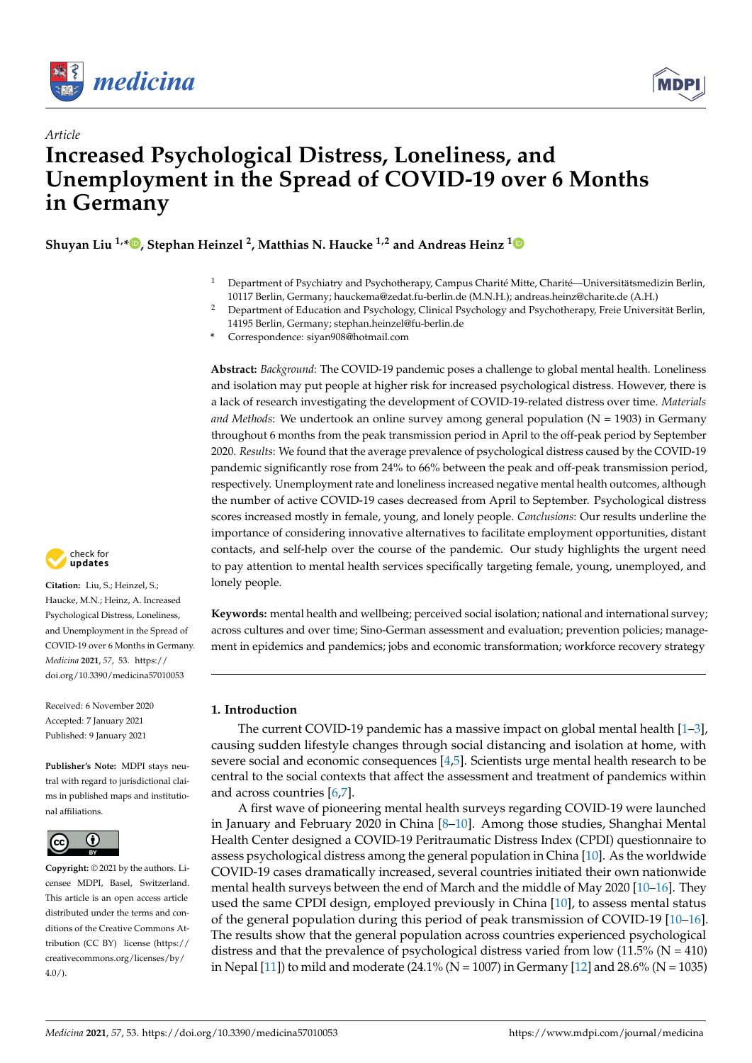



# *Article* **Increased Psychological Distress, Loneliness, and Unemployment in the Spread of COVID-19 over 6 Months in Germany**

**Shuyan Liu 1,\* [,](https://orcid.org/0000-0002-6948-5734) Stephan Heinzel <sup>2</sup> , Matthias N. Haucke 1,2 and Andreas Heinz [1](https://orcid.org/0000-0001-5405-9065)**

- <sup>1</sup> Department of Psychiatry and Psychotherapy, Campus Charité Mitte, Charité—Universitätsmedizin Berlin, 10117 Berlin, Germany; hauckema@zedat.fu-berlin.de (M.N.H.); andreas.heinz@charite.de (A.H.)
- <sup>2</sup> Department of Education and Psychology, Clinical Psychology and Psychotherapy, Freie Universität Berlin, 14195 Berlin, Germany; stephan.heinzel@fu-berlin.de
- **\*** Correspondence: siyan908@hotmail.com

**Abstract:** *Background*: The COVID-19 pandemic poses a challenge to global mental health. Loneliness and isolation may put people at higher risk for increased psychological distress. However, there is a lack of research investigating the development of COVID-19-related distress over time. *Materials and Methods*: We undertook an online survey among general population (N = 1903) in Germany throughout 6 months from the peak transmission period in April to the off-peak period by September 2020. *Results*: We found that the average prevalence of psychological distress caused by the COVID-19 pandemic significantly rose from 24% to 66% between the peak and off-peak transmission period, respectively. Unemployment rate and loneliness increased negative mental health outcomes, although the number of active COVID-19 cases decreased from April to September. Psychological distress scores increased mostly in female, young, and lonely people. *Conclusions*: Our results underline the importance of considering innovative alternatives to facilitate employment opportunities, distant contacts, and self-help over the course of the pandemic. Our study highlights the urgent need to pay attention to mental health services specifically targeting female, young, unemployed, and lonely people.

**Keywords:** mental health and wellbeing; perceived social isolation; national and international survey; across cultures and over time; Sino-German assessment and evaluation; prevention policies; management in epidemics and pandemics; jobs and economic transformation; workforce recovery strategy

## **1. Introduction**

The current COVID-19 pandemic has a massive impact on global mental health  $[1-3]$  $[1-3]$ , causing sudden lifestyle changes through social distancing and isolation at home, with severe social and economic consequences [\[4,](#page-8-2)[5\]](#page-8-3). Scientists urge mental health research to be central to the social contexts that affect the assessment and treatment of pandemics within and across countries [\[6,](#page-8-4)[7\]](#page-8-5).

A first wave of pioneering mental health surveys regarding COVID-19 were launched in January and February 2020 in China [\[8](#page-8-6)[–10\]](#page-8-7). Among those studies, Shanghai Mental Health Center designed a COVID-19 Peritraumatic Distress Index (CPDI) questionnaire to assess psychological distress among the general population in China [\[10\]](#page-8-7). As the worldwide COVID-19 cases dramatically increased, several countries initiated their own nationwide mental health surveys between the end of March and the middle of May 2020 [\[10](#page-8-7)[–16\]](#page-8-8). They used the same CPDI design, employed previously in China [\[10\]](#page-8-7), to assess mental status of the general population during this period of peak transmission of COVID-19 [\[10](#page-8-7)[–16\]](#page-8-8). The results show that the general population across countries experienced psychological distress and that the prevalence of psychological distress varied from low  $(11.5\%$  (N = 410) in Nepal [\[11\]](#page-8-9)) to mild and moderate (24.1% (N = 1007) in Germany [\[12\]](#page-8-10) and 28.6% (N = 1035)



**Citation:** Liu, S.; Heinzel, S.; Haucke, M.N.; Heinz, A. Increased Psychological Distress, Loneliness, and Unemployment in the Spread of COVID-19 over 6 Months in Germany. *Medicina* **2021**, *57*, 53. [https://](https://doi.org/10.3390/medicina57010053) [doi.org/10.3390/medicina57010053](https://doi.org/10.3390/medicina57010053)

Received: 6 November 2020 Accepted: 7 January 2021 Published: 9 January 2021

**Publisher's Note:** MDPI stays neutral with regard to jurisdictional claims in published maps and institutional affiliations.



**Copyright:** © 2021 by the authors. Licensee MDPI, Basel, Switzerland. This article is an open access article distributed under the terms and conditions of the Creative Commons Attribution (CC BY) license [\(https://](https://creativecommons.org/licenses/by/4.0/) [creativecommons.org/licenses/by/](https://creativecommons.org/licenses/by/4.0/)  $4.0/$ ).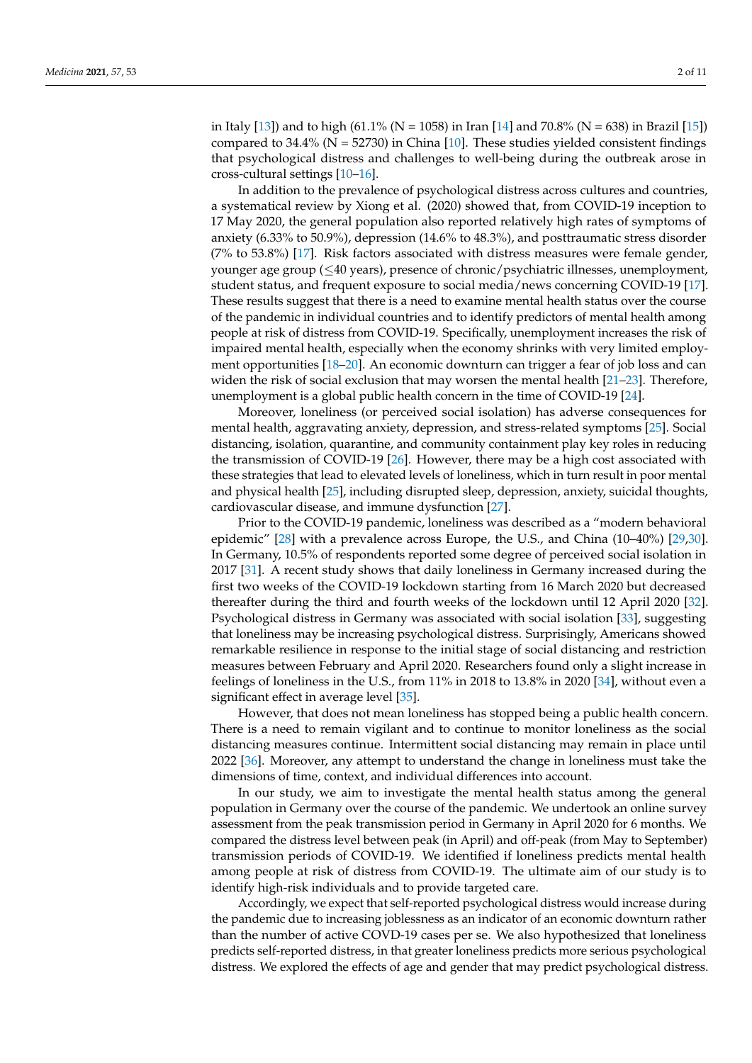in Italy [\[13\]](#page-8-11)) and to high (61.1% (N = 1058) in Iran [\[14\]](#page-8-12) and 70.8% (N = 638) in Brazil [\[15\]](#page-8-13)) compared to 34.4% ( $N = 52730$ ) in China [\[10\]](#page-8-7). These studies yielded consistent findings that psychological distress and challenges to well-being during the outbreak arose in cross-cultural settings [\[10](#page-8-7)[–16\]](#page-8-8).

In addition to the prevalence of psychological distress across cultures and countries, a systematical review by Xiong et al. (2020) showed that, from COVID-19 inception to 17 May 2020, the general population also reported relatively high rates of symptoms of anxiety (6.33% to 50.9%), depression (14.6% to 48.3%), and posttraumatic stress disorder (7% to 53.8%) [\[17\]](#page-8-14). Risk factors associated with distress measures were female gender, younger age group (≤40 years), presence of chronic/psychiatric illnesses, unemployment, student status, and frequent exposure to social media/news concerning COVID-19 [\[17\]](#page-8-14). These results suggest that there is a need to examine mental health status over the course of the pandemic in individual countries and to identify predictors of mental health among people at risk of distress from COVID-19. Specifically, unemployment increases the risk of impaired mental health, especially when the economy shrinks with very limited employment opportunities [\[18–](#page-8-15)[20\]](#page-8-16). An economic downturn can trigger a fear of job loss and can widen the risk of social exclusion that may worsen the mental health  $[21-23]$  $[21-23]$ . Therefore, unemployment is a global public health concern in the time of COVID-19 [\[24\]](#page-9-0).

Moreover, loneliness (or perceived social isolation) has adverse consequences for mental health, aggravating anxiety, depression, and stress-related symptoms [\[25\]](#page-9-1). Social distancing, isolation, quarantine, and community containment play key roles in reducing the transmission of COVID-19 [\[26\]](#page-9-2). However, there may be a high cost associated with these strategies that lead to elevated levels of loneliness, which in turn result in poor mental and physical health [\[25\]](#page-9-1), including disrupted sleep, depression, anxiety, suicidal thoughts, cardiovascular disease, and immune dysfunction [\[27\]](#page-9-3).

Prior to the COVID-19 pandemic, loneliness was described as a "modern behavioral epidemic" [\[28\]](#page-9-4) with a prevalence across Europe, the U.S., and China (10–40%) [\[29,](#page-9-5)[30\]](#page-9-6). In Germany, 10.5% of respondents reported some degree of perceived social isolation in 2017 [\[31\]](#page-9-7). A recent study shows that daily loneliness in Germany increased during the first two weeks of the COVID-19 lockdown starting from 16 March 2020 but decreased thereafter during the third and fourth weeks of the lockdown until 12 April 2020 [\[32\]](#page-9-8). Psychological distress in Germany was associated with social isolation [\[33\]](#page-9-9), suggesting that loneliness may be increasing psychological distress. Surprisingly, Americans showed remarkable resilience in response to the initial stage of social distancing and restriction measures between February and April 2020. Researchers found only a slight increase in feelings of loneliness in the U.S., from 11% in 2018 to 13.8% in 2020 [\[34\]](#page-9-10), without even a significant effect in average level [\[35\]](#page-9-11).

However, that does not mean loneliness has stopped being a public health concern. There is a need to remain vigilant and to continue to monitor loneliness as the social distancing measures continue. Intermittent social distancing may remain in place until 2022 [\[36\]](#page-9-12). Moreover, any attempt to understand the change in loneliness must take the dimensions of time, context, and individual differences into account.

In our study, we aim to investigate the mental health status among the general population in Germany over the course of the pandemic. We undertook an online survey assessment from the peak transmission period in Germany in April 2020 for 6 months. We compared the distress level between peak (in April) and off-peak (from May to September) transmission periods of COVID-19. We identified if loneliness predicts mental health among people at risk of distress from COVID-19. The ultimate aim of our study is to identify high-risk individuals and to provide targeted care.

Accordingly, we expect that self-reported psychological distress would increase during the pandemic due to increasing joblessness as an indicator of an economic downturn rather than the number of active COVD-19 cases per se. We also hypothesized that loneliness predicts self-reported distress, in that greater loneliness predicts more serious psychological distress. We explored the effects of age and gender that may predict psychological distress.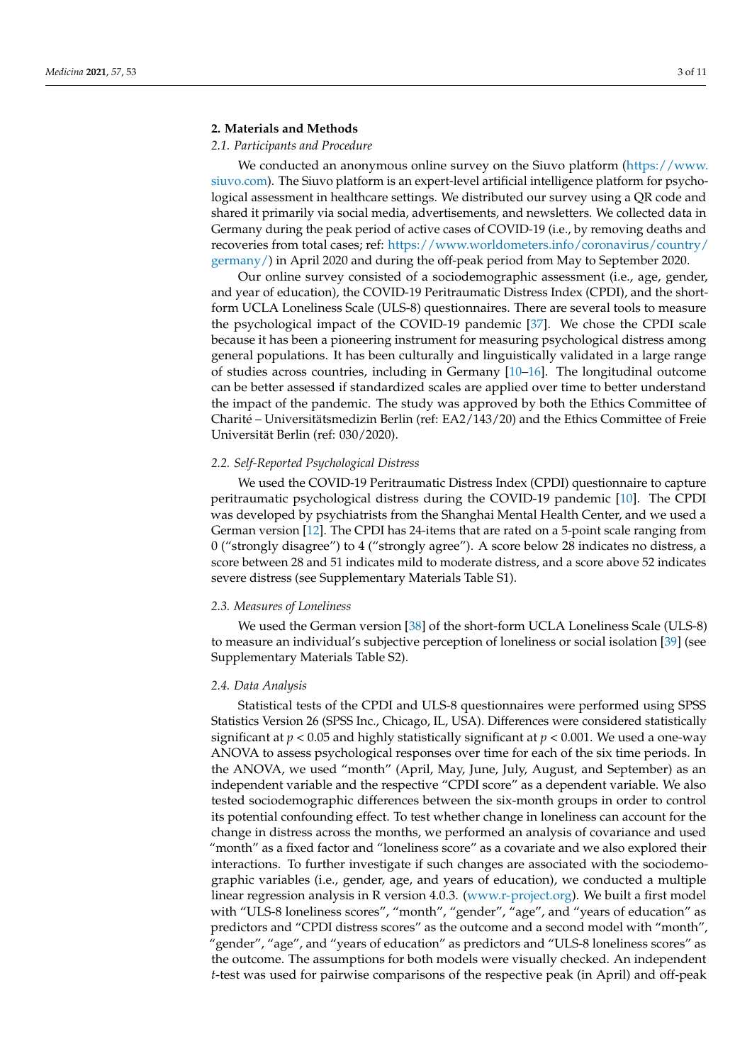## **2. Materials and Methods**

## *2.1. Participants and Procedure*

We conducted an anonymous online survey on the Siuvo platform [\(https://www.](https://www.siuvo.com) [siuvo.com\)](https://www.siuvo.com). The Siuvo platform is an expert-level artificial intelligence platform for psychological assessment in healthcare settings. We distributed our survey using a QR code and shared it primarily via social media, advertisements, and newsletters. We collected data in Germany during the peak period of active cases of COVID-19 (i.e., by removing deaths and recoveries from total cases; ref: [https://www.worldometers.info/coronavirus/country/](https://www.worldometers.info/coronavirus/country/germany/) [germany/\)](https://www.worldometers.info/coronavirus/country/germany/) in April 2020 and during the off-peak period from May to September 2020.

Our online survey consisted of a sociodemographic assessment (i.e., age, gender, and year of education), the COVID-19 Peritraumatic Distress Index (CPDI), and the shortform UCLA Loneliness Scale (ULS-8) questionnaires. There are several tools to measure the psychological impact of the COVID-19 pandemic [\[37\]](#page-9-13). We chose the CPDI scale because it has been a pioneering instrument for measuring psychological distress among general populations. It has been culturally and linguistically validated in a large range of studies across countries, including in Germany [\[10](#page-8-7)[–16\]](#page-8-8). The longitudinal outcome can be better assessed if standardized scales are applied over time to better understand the impact of the pandemic. The study was approved by both the Ethics Committee of Charité – Universitätsmedizin Berlin (ref: EA2/143/20) and the Ethics Committee of Freie Universität Berlin (ref: 030/2020).

## *2.2. Self-Reported Psychological Distress*

We used the COVID-19 Peritraumatic Distress Index (CPDI) questionnaire to capture peritraumatic psychological distress during the COVID-19 pandemic [\[10\]](#page-8-7). The CPDI was developed by psychiatrists from the Shanghai Mental Health Center, and we used a German version [\[12\]](#page-8-10). The CPDI has 24-items that are rated on a 5-point scale ranging from 0 ("strongly disagree") to 4 ("strongly agree"). A score below 28 indicates no distress, a score between 28 and 51 indicates mild to moderate distress, and a score above 52 indicates severe distress (see Supplementary Materials Table S1).

### *2.3. Measures of Loneliness*

We used the German version [\[38\]](#page-9-14) of the short-form UCLA Loneliness Scale (ULS-8) to measure an individual's subjective perception of loneliness or social isolation [\[39\]](#page-9-15) (see Supplementary Materials Table S2).

#### *2.4. Data Analysis*

Statistical tests of the CPDI and ULS-8 questionnaires were performed using SPSS Statistics Version 26 (SPSS Inc., Chicago, IL, USA). Differences were considered statistically significant at *p* < 0.05 and highly statistically significant at *p* < 0.001. We used a one-way ANOVA to assess psychological responses over time for each of the six time periods. In the ANOVA, we used "month" (April, May, June, July, August, and September) as an independent variable and the respective "CPDI score" as a dependent variable. We also tested sociodemographic differences between the six-month groups in order to control its potential confounding effect. To test whether change in loneliness can account for the change in distress across the months, we performed an analysis of covariance and used "month" as a fixed factor and "loneliness score" as a covariate and we also explored their interactions. To further investigate if such changes are associated with the sociodemographic variables (i.e., gender, age, and years of education), we conducted a multiple linear regression analysis in R version 4.0.3. [\(www.r-project.org\)](www.r-project.org). We built a first model with "ULS-8 loneliness scores", "month", "gender", "age", and "years of education" as predictors and "CPDI distress scores" as the outcome and a second model with "month", "gender", "age", and "years of education" as predictors and "ULS-8 loneliness scores" as the outcome. The assumptions for both models were visually checked. An independent *t*-test was used for pairwise comparisons of the respective peak (in April) and off-peak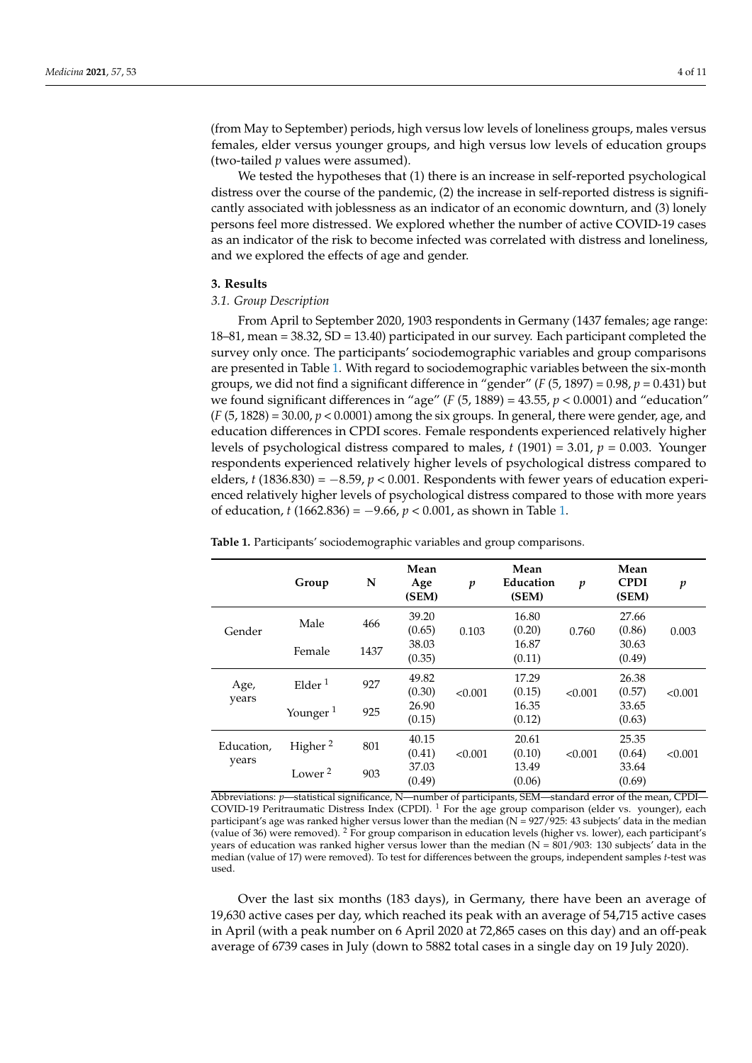(from May to September) periods, high versus low levels of loneliness groups, males versus females, elder versus younger groups, and high versus low levels of education groups (two-tailed *p* values were assumed).

We tested the hypotheses that (1) there is an increase in self-reported psychological distress over the course of the pandemic, (2) the increase in self-reported distress is significantly associated with joblessness as an indicator of an economic downturn, and (3) lonely persons feel more distressed. We explored whether the number of active COVID-19 cases as an indicator of the risk to become infected was correlated with distress and loneliness, and we explored the effects of age and gender.

### **3. Results**

#### *3.1. Group Description*

From April to September 2020, 1903 respondents in Germany (1437 females; age range: 18–81, mean = 38.32, SD = 13.40) participated in our survey. Each participant completed the survey only once. The participants' sociodemographic variables and group comparisons are presented in Table [1.](#page-3-0) With regard to sociodemographic variables between the six-month groups, we did not find a significant difference in "gender" ( $F(5, 1897) = 0.98$ ,  $p = 0.431$ ) but we found significant differences in "age"  $(F (5, 1889) = 43.55, p < 0.0001)$  and "education"  $(F(5, 1828) = 30.00, p < 0.0001)$  among the six groups. In general, there were gender, age, and education differences in CPDI scores. Female respondents experienced relatively higher levels of psychological distress compared to males, *t* (1901) = 3.01, *p* = 0.003. Younger respondents experienced relatively higher levels of psychological distress compared to elders, *t* (1836.830) = −8.59, *p* < 0.001. Respondents with fewer years of education experienced relatively higher levels of psychological distress compared to those with more years of education, *t* (1662.836) =  $-9.66$ ,  $p < 0.001$ , as shown in Table [1.](#page-3-0)

|                     | Group                 | N    | Mean<br>Age<br>(SEM) | p       | Mean<br>Education<br>(SEM) | $\boldsymbol{p}$ | Mean<br><b>CPDI</b><br>(SEM) | $\boldsymbol{p}$ |
|---------------------|-----------------------|------|----------------------|---------|----------------------------|------------------|------------------------------|------------------|
| Gender              | Male                  | 466  | 39.20                | 0.103   | 16.80                      | 0.760            | 27.66                        | 0.003            |
|                     |                       |      | (0.65)               |         | (0.20)                     |                  | (0.86)                       |                  |
|                     | Female                | 1437 | 38.03                |         | 16.87                      |                  | 30.63                        |                  |
|                     |                       |      | (0.35)               |         | (0.11)                     |                  | (0.49)                       |                  |
| Age,<br>years       | $E$ lder <sup>1</sup> | 927  | 49.82                | < 0.001 | 17.29                      | < 0.001          | 26.38                        | < 0.001          |
|                     |                       |      | (0.30)               |         | (0.15)                     |                  | (0.57)                       |                  |
|                     | Younger <sup>1</sup>  | 925  | 26.90                |         | 16.35                      |                  | 33.65                        |                  |
|                     |                       |      | (0.15)               |         | (0.12)                     |                  | (0.63)                       |                  |
| Education,<br>years | Higher <sup>2</sup>   | 801  | 40.15                |         | 20.61                      |                  | 25.35                        |                  |
|                     |                       |      | (0.41)               | < 0.001 | (0.10)                     | < 0.001          | (0.64)                       | < 0.001          |
|                     | Lower <sup>2</sup>    | 903  | 37.03                |         | 13.49                      |                  | 33.64                        |                  |
|                     |                       |      | (0.49)               |         | (0.06)                     |                  | (0.69)                       |                  |

<span id="page-3-0"></span>**Table 1.** Participants' sociodemographic variables and group comparisons.

Abbreviations: *p*—statistical significance, N—number of participants, SEM—standard error of the mean, CPDI— COVID-19 Peritraumatic Distress Index (CPDI). <sup>1</sup> For the age group comparison (elder vs. younger), each participant's age was ranked higher versus lower than the median (N = 927/925: 43 subjects' data in the median (value of 36) were removed). <sup>2</sup> For group comparison in education levels (higher vs. lower), each participant's years of education was ranked higher versus lower than the median ( $N = 801/903$ : 130 subjects' data in the median (value of 17) were removed). To test for differences between the groups, independent samples *t*-test was used.

Over the last six months (183 days), in Germany, there have been an average of 19,630 active cases per day, which reached its peak with an average of 54,715 active cases in April (with a peak number on 6 April 2020 at 72,865 cases on this day) and an off-peak average of 6739 cases in July (down to 5882 total cases in a single day on 19 July 2020).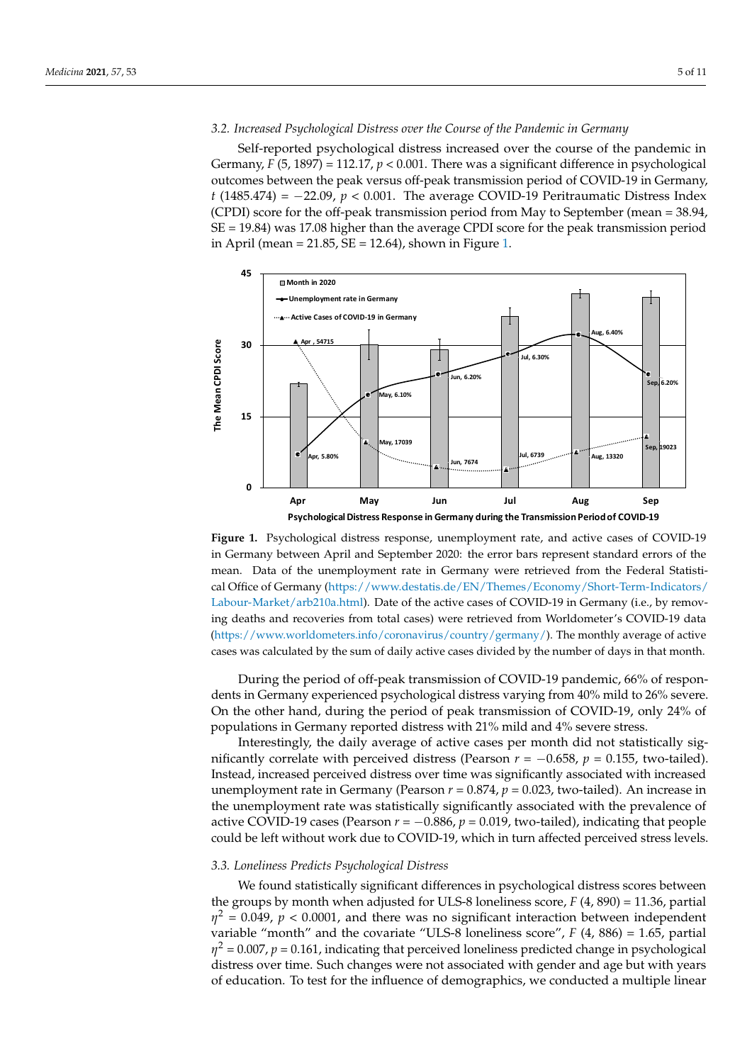## 3.2. Increased Psychological Distress over the Course of the Pandemic in Germany

Self-reported psychological distress increased over the course of the pandemic in Germany, *F* (5, 1897) = 112.17, *p* < 0.001. There was a significant difference in psychological outcomes between the peak versus off-peak transmission period of COVID-19 in Germany,  $t$  (1485.474) =  $-22.09$ ,  $p < 0.001$ . The average COVID-19 Peritraumatic Distress Index (CPDI) score for the off-peak transmission period from May to September (mean = 38.94, SE = 19.84) was 17.08 higher than the average CPDI score for the peak transmission period in April (mean  $= 21.85$ , SE  $= 12.64$ ), shown in Figure 1.

<span id="page-4-0"></span>

**Figure 1.** Psychological distress response, unemployment rate, and active cases of COVID-19 in Germany between April and September 2020: the error bars represent standard errors of the mean. Data of the unemployment rate in Germany were retrieved from the Federal Statisti-cal Office of Germany [\(https://www.destatis.de/EN/Themes/Economy/Short-Term-Indicators/](https://www.destatis.de/EN/Themes/Economy/Short-Term-Indicators/Labour-Market/arb210a.html) [Labour-Market/arb210a.html\)](https://www.destatis.de/EN/Themes/Economy/Short-Term-Indicators/Labour-Market/arb210a.html). Date of the active cases of COVID-19 in Germany (i.e., by removing deaths and recoveries from total cases) were retrieved from Worldometer's COVID-19 data (https://www.worldometers.info/coronavirus/country/germany/). The monthly average of active [\(https://www.worldometers.info/coronavirus/country/germany/\)](https://www.worldometers.info/coronavirus/country/germany/). The monthly average of active cases was calculated by the sum of daily active cases divided by the number of days in that month. cases was calculated by the sum of daily active cases divided by the number of days in that month.

During the period of off-peak transmission of COVID-19 pandemic, 66% of respondents in Germany experienced psychological distress varying from 40% mild to 26% severe. On the other hand, during the period of peak transmission of COVID-19, only 24% of *populations in Germany reported distress with 21% mild and 4% severe stress.* 

Interestingly, the daily average of active cases per month did not statistically significantly correlate with perceived distress (Pearson  $r = -0.658$ ,  $p = 0.155$ , two-tailed). Instead, increased perceived distress over time was significantly associated with increased unemployment rate in Germany (Pearson *r* = 0.874, *p* = 0.023, two-tailed). An increase in the unemployment rate was statistically significantly associated with the prevalence of active COVID-19 cases (Pearson  $r = -0.886$ ,  $p = 0.019$ , two-tailed), indicating that people could be left without work due to COVID-19, which in turn affected perceived stress levels.

#### *3.3. Loneliness Predicts Psychological Distress*

We found statistically significant differences in psychological distress scores between the groups by month when adjusted for ULS-8 loneliness score, *F* (4, 890) = 11.36, partial  $\eta^2$  = 0.049,  $p <$  0.0001, and there was no significant interaction between independent variable "month" and the covariate "ULS-8 loneliness score", *F* (4, 886) = 1.65, partial  $\eta^2$  = 0.007,  $p$  = 0.161, indicating that perceived loneliness predicted change in psychological distress over time. Such changes were not associated with gender and age but with years of education. To test for the influence of demographics, we conducted a multiple linear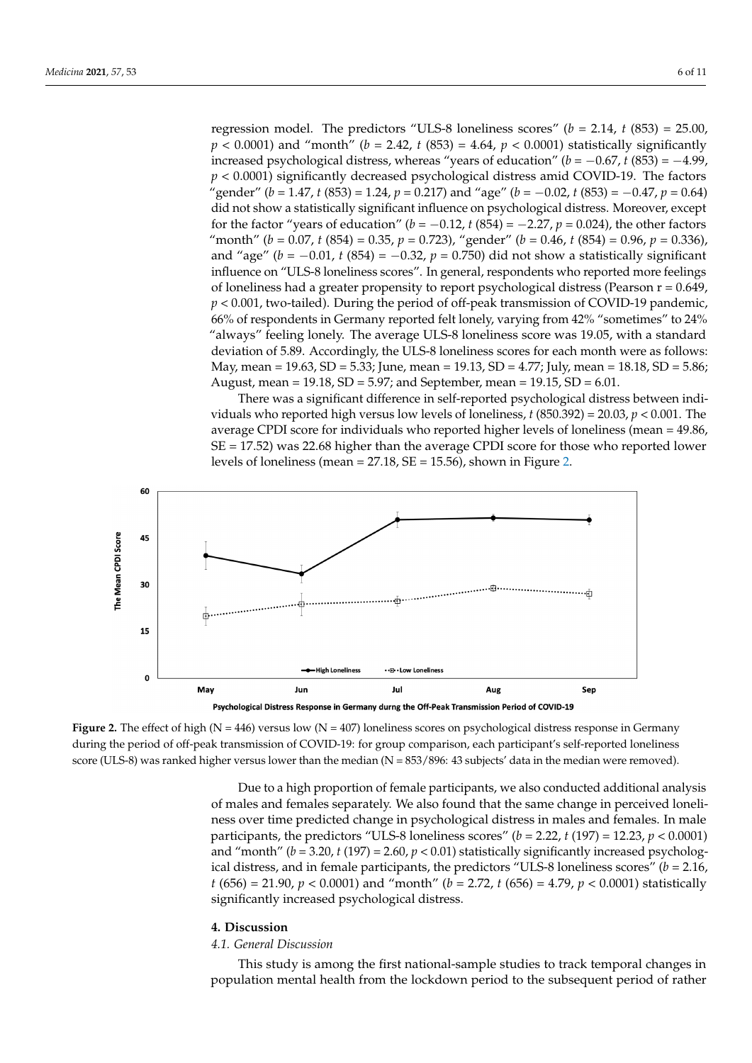regression model. The predictors "ULS-8 loneliness scores" ( $b = 2.14$ ,  $t$  (853) = 25.00,  $p < 0.0001$ ) and "month" (b = 2.42, t (853) = 4.64, p < 0.0001) statistically significantly increased psychological distress, whereas "years of education" ( $b = -0.67$ ,  $t(853) = -4.99$ ,  $p < 0.0001$ ) significantly decreased psychological distress amid COVID-19. The factors "gender" ( $b = 1.47$ , t (853) = 1.24, p = 0.217) and "age" ( $b = -0.02$ , t (853) = -0.47, p = 0.64) did not show a statistically significant influence on psychological distress. Moreover, except for the factor "years of education" ( $b = -0.12$ ,  $t(854) = -2.27$ ,  $p = 0.024$ ), the other factors "month" ( $b = 0.07$ ,  $t(854) = 0.35$ ,  $p = 0.723$ ), "gender" ( $b = 0.46$ ,  $t(854) = 0.96$ ,  $p = 0.336$ ), and "age" ( $b = -0.01$ ,  $t$  (854) =  $-0.32$ ,  $p = 0.750$ ) did not show a statistically significant influence on "ULS-8 loneliness scores". In general, respondents who reported more feelings of loneliness had a greater propensity to report psychological distress (Pearson r = 0.649,  $p < 0.001$ , two-tailed). During the period of off-peak transmission of COVID-19 pandemic, 66% of respondents in Germany reported felt lonely, varying from 42% "sometimes" to 24% "always" feeling lonely. The average ULS-8 loneliness score was 19.05, with a standard deviation of 5.89. Accordingly, the ULS-8 loneliness scores for each month were as follows: May, mean = 19.63, SD = 5.33; June, mean = 19.13, SD = 4.77; July, mean = 18.18, SD = 5.86; May, mean = 19.63, SD = 5.33; June, mean = 19.13, SD = 4.77; July, mean = 18.18, SD = 5.86; August, mean = 19.18, SD = 5.97; and September, mean = 19.15, SD = 6.01. August, mean = 19.18, SD = 5.97; and September, mean = 19.15, SD = 6.01.

distress over time. Such changes were not associated with gender and age but with years

There was a significant difference in self-reported psychological distress between individuals who reported high versus low levels of loneliness,  $t$  (850.392) = 20.03,  $p < 0.001$ . The average CPDI score for individuals who reported higher levels of loneliness (mean = 49.86,  $SE = 17.52$ ) was 22.68 higher than the average CPDI score for those who reported lower levels of loneliness (mean  $= 27.18$ , SE  $= 15.56$ ), shown in [Fig](#page-5-0)ure 2.

<span id="page-5-0"></span>

**Figure 2.** The effect of high  $(N = 446)$  versus low  $(N = 407)$  loneliness scores on psychological distress response in Germany during the period of off-peak transmission of COVID-19: for group comparison, each participant's self-reported loneliness score (ULS-8) was ranked higher versus lower than the median (N = 853/896: 43 subjects' data in the median were removed).

of males and females separately. We also found that the same change in perceived loneliness over time predicted change in psychological distress in males and females. In male participants, the predictors "ULS-8 loneliness scores" ( $b = 2.22$ ,  $t(197) = 12.23$ ,  $p < 0.0001$ ) and "month" ( $b = 3.20$ ,  $t(197) = 2.60$ ,  $p < 0.01$ ) statistically significantly increased psychological distress, and in female participants, the predictors "ULS-8 loneliness scores" ( $b = 2.16$ ,  $t(656) = 21.90, p < 0.0001$ ) and "month" ( $b = 2.72, t(656) = 4.79, p < 0.0001$ ) statistically significantly increased psychological distress. Due to a high proportion of female participants, we also conducted additional analysis

#### $\mathbf{s}$  significantly increased psychological distress. **4. Discussion**

### *4.1. General Discussion*

This study is among the first national-sample studies to track temporal changes in population mental health from the lockdown period to the subsequent period of rather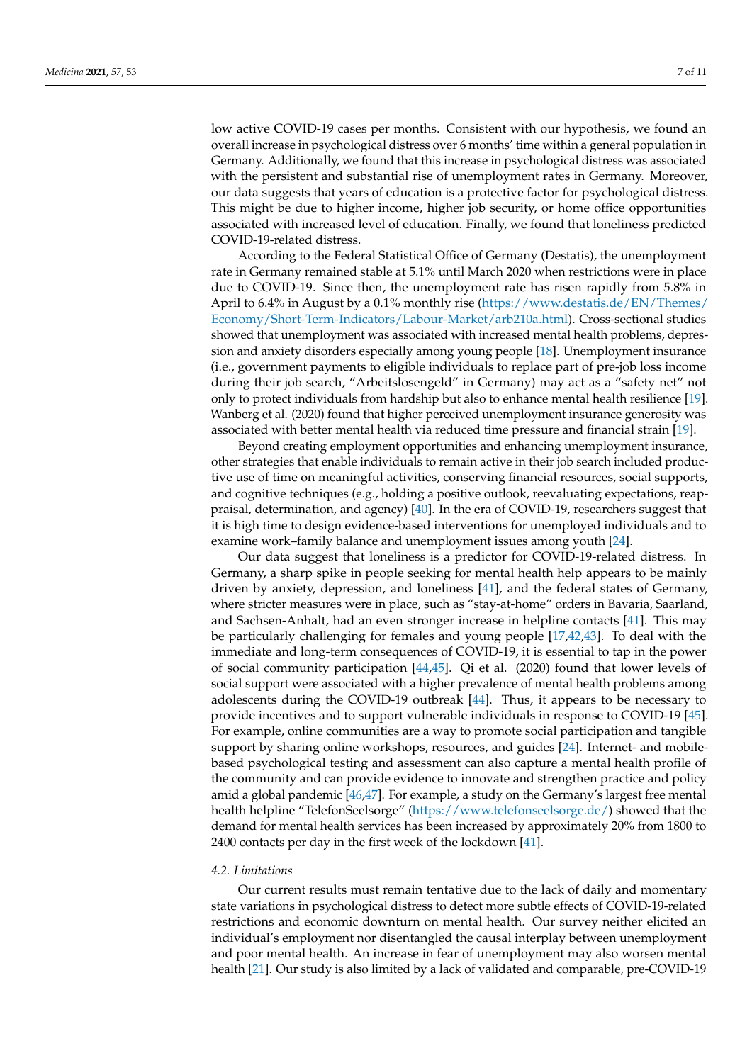low active COVID-19 cases per months. Consistent with our hypothesis, we found an overall increase in psychological distress over 6 months' time within a general population in Germany. Additionally, we found that this increase in psychological distress was associated with the persistent and substantial rise of unemployment rates in Germany. Moreover, our data suggests that years of education is a protective factor for psychological distress. This might be due to higher income, higher job security, or home office opportunities associated with increased level of education. Finally, we found that loneliness predicted COVID-19-related distress.

According to the Federal Statistical Office of Germany (Destatis), the unemployment rate in Germany remained stable at 5.1% until March 2020 when restrictions were in place due to COVID-19. Since then, the unemployment rate has risen rapidly from 5.8% in April to 6.4% in August by a 0.1% monthly rise [\(https://www.destatis.de/EN/Themes/](https://www.destatis.de/EN/Themes/Economy/Short-Term-Indicators/Labour-Market/arb210a.html) [Economy/Short-Term-Indicators/Labour-Market/arb210a.html\)](https://www.destatis.de/EN/Themes/Economy/Short-Term-Indicators/Labour-Market/arb210a.html). Cross-sectional studies showed that unemployment was associated with increased mental health problems, depression and anxiety disorders especially among young people [\[18\]](#page-8-15). Unemployment insurance (i.e., government payments to eligible individuals to replace part of pre-job loss income during their job search, "Arbeitslosengeld" in Germany) may act as a "safety net" not only to protect individuals from hardship but also to enhance mental health resilience [\[19\]](#page-8-19). Wanberg et al. (2020) found that higher perceived unemployment insurance generosity was associated with better mental health via reduced time pressure and financial strain [\[19\]](#page-8-19).

Beyond creating employment opportunities and enhancing unemployment insurance, other strategies that enable individuals to remain active in their job search included productive use of time on meaningful activities, conserving financial resources, social supports, and cognitive techniques (e.g., holding a positive outlook, reevaluating expectations, reappraisal, determination, and agency) [\[40\]](#page-9-16). In the era of COVID-19, researchers suggest that it is high time to design evidence-based interventions for unemployed individuals and to examine work–family balance and unemployment issues among youth [\[24\]](#page-9-0).

Our data suggest that loneliness is a predictor for COVID-19-related distress. In Germany, a sharp spike in people seeking for mental health help appears to be mainly driven by anxiety, depression, and loneliness [\[41\]](#page-9-17), and the federal states of Germany, where stricter measures were in place, such as "stay-at-home" orders in Bavaria, Saarland, and Sachsen-Anhalt, had an even stronger increase in helpline contacts [\[41\]](#page-9-17). This may be particularly challenging for females and young people [\[17](#page-8-14)[,42,](#page-9-18)[43\]](#page-9-19). To deal with the immediate and long-term consequences of COVID-19, it is essential to tap in the power of social community participation [\[44,](#page-9-20)[45\]](#page-9-21). Qi et al. (2020) found that lower levels of social support were associated with a higher prevalence of mental health problems among adolescents during the COVID-19 outbreak [\[44\]](#page-9-20). Thus, it appears to be necessary to provide incentives and to support vulnerable individuals in response to COVID-19 [\[45\]](#page-9-21). For example, online communities are a way to promote social participation and tangible support by sharing online workshops, resources, and guides [\[24\]](#page-9-0). Internet- and mobilebased psychological testing and assessment can also capture a mental health profile of the community and can provide evidence to innovate and strengthen practice and policy amid a global pandemic [\[46,](#page-9-22)[47\]](#page-9-23). For example, a study on the Germany's largest free mental health helpline "TelefonSeelsorge" [\(https://www.telefonseelsorge.de/\)](https://www.telefonseelsorge.de/) showed that the demand for mental health services has been increased by approximately 20% from 1800 to 2400 contacts per day in the first week of the lockdown [\[41\]](#page-9-17).

#### *4.2. Limitations*

Our current results must remain tentative due to the lack of daily and momentary state variations in psychological distress to detect more subtle effects of COVID-19-related restrictions and economic downturn on mental health. Our survey neither elicited an individual's employment nor disentangled the causal interplay between unemployment and poor mental health. An increase in fear of unemployment may also worsen mental health [\[21\]](#page-8-17). Our study is also limited by a lack of validated and comparable, pre-COVID-19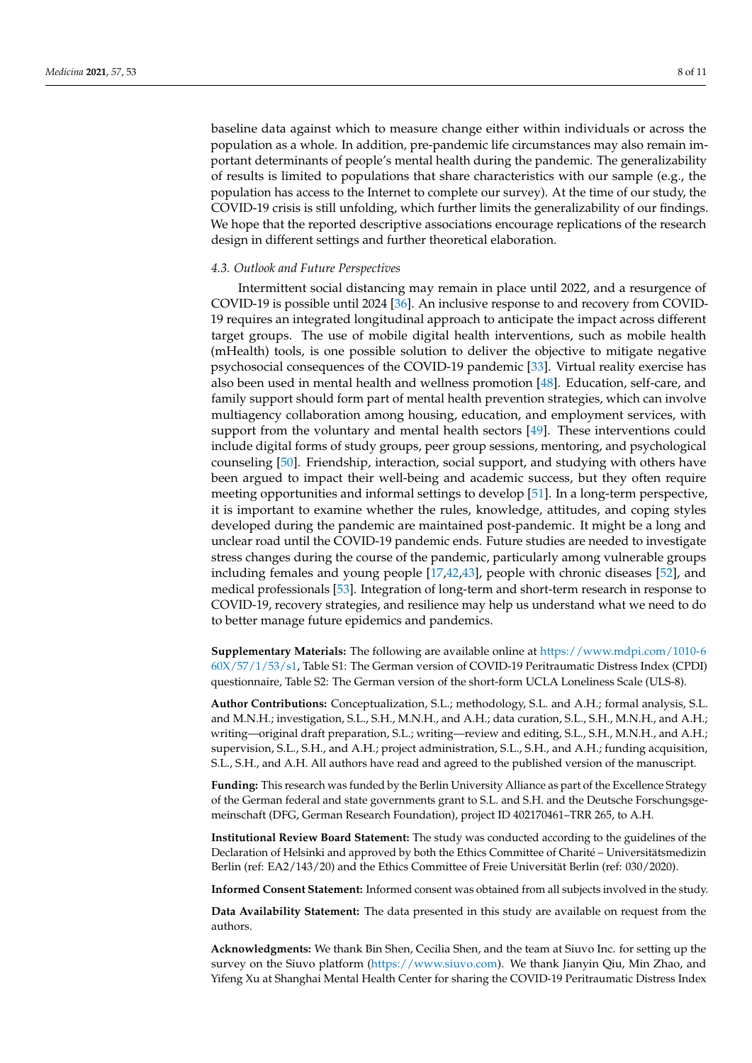baseline data against which to measure change either within individuals or across the population as a whole. In addition, pre-pandemic life circumstances may also remain important determinants of people's mental health during the pandemic. The generalizability of results is limited to populations that share characteristics with our sample (e.g., the population has access to the Internet to complete our survey). At the time of our study, the COVID-19 crisis is still unfolding, which further limits the generalizability of our findings. We hope that the reported descriptive associations encourage replications of the research design in different settings and further theoretical elaboration.

## *4.3. Outlook and Future Perspectives*

Intermittent social distancing may remain in place until 2022, and a resurgence of COVID-19 is possible until 2024 [\[36\]](#page-9-12). An inclusive response to and recovery from COVID-19 requires an integrated longitudinal approach to anticipate the impact across different target groups. The use of mobile digital health interventions, such as mobile health (mHealth) tools, is one possible solution to deliver the objective to mitigate negative psychosocial consequences of the COVID-19 pandemic [\[33\]](#page-9-9). Virtual reality exercise has also been used in mental health and wellness promotion [\[48\]](#page-9-24). Education, self-care, and family support should form part of mental health prevention strategies, which can involve multiagency collaboration among housing, education, and employment services, with support from the voluntary and mental health sectors [\[49\]](#page-9-25). These interventions could include digital forms of study groups, peer group sessions, mentoring, and psychological counseling [\[50\]](#page-9-26). Friendship, interaction, social support, and studying with others have been argued to impact their well-being and academic success, but they often require meeting opportunities and informal settings to develop [\[51\]](#page-9-27). In a long-term perspective, it is important to examine whether the rules, knowledge, attitudes, and coping styles developed during the pandemic are maintained post-pandemic. It might be a long and unclear road until the COVID-19 pandemic ends. Future studies are needed to investigate stress changes during the course of the pandemic, particularly among vulnerable groups including females and young people [\[17](#page-8-14)[,42](#page-9-18)[,43\]](#page-9-19), people with chronic diseases [\[52\]](#page-10-0), and medical professionals [\[53\]](#page-10-1). Integration of long-term and short-term research in response to COVID-19, recovery strategies, and resilience may help us understand what we need to do to better manage future epidemics and pandemics.

**Supplementary Materials:** The following are available online at [https://www.mdpi.com/1010-6](https://www.mdpi.com/1010-660X/57/1/53/s1) [60X/57/1/53/s1,](https://www.mdpi.com/1010-660X/57/1/53/s1) Table S1: The German version of COVID-19 Peritraumatic Distress Index (CPDI) questionnaire, Table S2: The German version of the short-form UCLA Loneliness Scale (ULS-8).

**Author Contributions:** Conceptualization, S.L.; methodology, S.L. and A.H.; formal analysis, S.L. and M.N.H.; investigation, S.L., S.H., M.N.H., and A.H.; data curation, S.L., S.H., M.N.H., and A.H.; writing—original draft preparation, S.L.; writing—review and editing, S.L., S.H., M.N.H., and A.H.; supervision, S.L., S.H., and A.H.; project administration, S.L., S.H., and A.H.; funding acquisition, S.L., S.H., and A.H. All authors have read and agreed to the published version of the manuscript.

**Funding:** This research was funded by the Berlin University Alliance as part of the Excellence Strategy of the German federal and state governments grant to S.L. and S.H. and the Deutsche Forschungsgemeinschaft (DFG, German Research Foundation), project ID 402170461–TRR 265, to A.H.

**Institutional Review Board Statement:** The study was conducted according to the guidelines of the Declaration of Helsinki and approved by both the Ethics Committee of Charité – Universitätsmedizin Berlin (ref: EA2/143/20) and the Ethics Committee of Freie Universität Berlin (ref: 030/2020).

**Informed Consent Statement:** Informed consent was obtained from all subjects involved in the study.

**Data Availability Statement:** The data presented in this study are available on request from the authors.

**Acknowledgments:** We thank Bin Shen, Cecilia Shen, and the team at Siuvo Inc. for setting up the survey on the Siuvo platform [\(https://www.siuvo.com\)](https://www.siuvo.com). We thank Jianyin Qiu, Min Zhao, and Yifeng Xu at Shanghai Mental Health Center for sharing the COVID-19 Peritraumatic Distress Index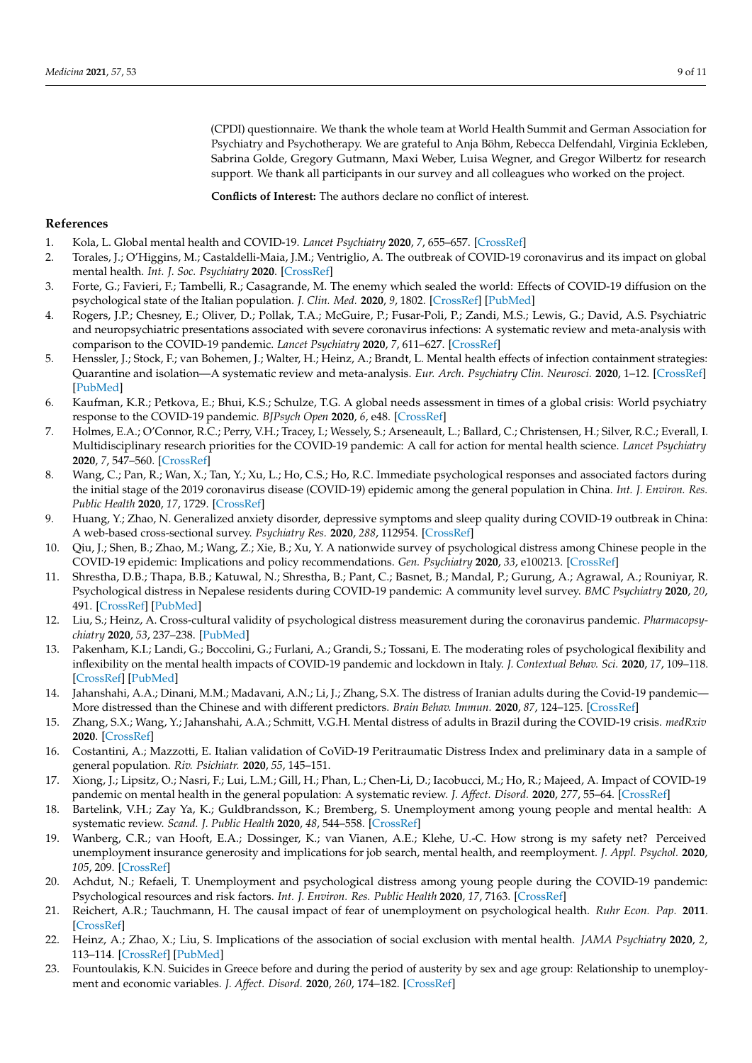(CPDI) questionnaire. We thank the whole team at World Health Summit and German Association for Psychiatry and Psychotherapy. We are grateful to Anja Böhm, Rebecca Delfendahl, Virginia Eckleben, Sabrina Golde, Gregory Gutmann, Maxi Weber, Luisa Wegner, and Gregor Wilbertz for research support. We thank all participants in our survey and all colleagues who worked on the project.

**Conflicts of Interest:** The authors declare no conflict of interest.

## **References**

- <span id="page-8-0"></span>1. Kola, L. Global mental health and COVID-19. *Lancet Psychiatry* **2020**, *7*, 655–657. [\[CrossRef\]](http://doi.org/10.1016/S2215-0366(20)30235-2)
- 2. Torales, J.; O'Higgins, M.; Castaldelli-Maia, J.M.; Ventriglio, A. The outbreak of COVID-19 coronavirus and its impact on global mental health. *Int. J. Soc. Psychiatry* **2020**. [\[CrossRef\]](http://doi.org/10.1177/0020764020915212)
- <span id="page-8-1"></span>3. Forte, G.; Favieri, F.; Tambelli, R.; Casagrande, M. The enemy which sealed the world: Effects of COVID-19 diffusion on the psychological state of the Italian population. *J. Clin. Med.* **2020**, *9*, 1802. [\[CrossRef\]](http://doi.org/10.3390/jcm9061802) [\[PubMed\]](http://www.ncbi.nlm.nih.gov/pubmed/32531884)
- <span id="page-8-2"></span>4. Rogers, J.P.; Chesney, E.; Oliver, D.; Pollak, T.A.; McGuire, P.; Fusar-Poli, P.; Zandi, M.S.; Lewis, G.; David, A.S. Psychiatric and neuropsychiatric presentations associated with severe coronavirus infections: A systematic review and meta-analysis with comparison to the COVID-19 pandemic. *Lancet Psychiatry* **2020**, *7*, 611–627. [\[CrossRef\]](http://doi.org/10.1016/S2215-0366(20)30203-0)
- <span id="page-8-3"></span>5. Henssler, J.; Stock, F.; van Bohemen, J.; Walter, H.; Heinz, A.; Brandt, L. Mental health effects of infection containment strategies: Quarantine and isolation—A systematic review and meta-analysis. *Eur. Arch. Psychiatry Clin. Neurosci.* **2020**, 1–12. [\[CrossRef\]](http://doi.org/10.1007/s00406-020-01196-x) [\[PubMed\]](http://www.ncbi.nlm.nih.gov/pubmed/33025099)
- <span id="page-8-4"></span>6. Kaufman, K.R.; Petkova, E.; Bhui, K.S.; Schulze, T.G. A global needs assessment in times of a global crisis: World psychiatry response to the COVID-19 pandemic. *BJPsych Open* **2020**, *6*, e48. [\[CrossRef\]](http://doi.org/10.1192/bjo.2020.25)
- <span id="page-8-5"></span>7. Holmes, E.A.; O'Connor, R.C.; Perry, V.H.; Tracey, I.; Wessely, S.; Arseneault, L.; Ballard, C.; Christensen, H.; Silver, R.C.; Everall, I. Multidisciplinary research priorities for the COVID-19 pandemic: A call for action for mental health science. *Lancet Psychiatry* **2020**, *7*, 547–560. [\[CrossRef\]](http://doi.org/10.1016/S2215-0366(20)30168-1)
- <span id="page-8-6"></span>8. Wang, C.; Pan, R.; Wan, X.; Tan, Y.; Xu, L.; Ho, C.S.; Ho, R.C. Immediate psychological responses and associated factors during the initial stage of the 2019 coronavirus disease (COVID-19) epidemic among the general population in China. *Int. J. Environ. Res. Public Health* **2020**, *17*, 1729. [\[CrossRef\]](http://doi.org/10.3390/ijerph17051729)
- 9. Huang, Y.; Zhao, N. Generalized anxiety disorder, depressive symptoms and sleep quality during COVID-19 outbreak in China: A web-based cross-sectional survey. *Psychiatry Res.* **2020**, *288*, 112954. [\[CrossRef\]](http://doi.org/10.1016/j.psychres.2020.112954)
- <span id="page-8-7"></span>10. Qiu, J.; Shen, B.; Zhao, M.; Wang, Z.; Xie, B.; Xu, Y. A nationwide survey of psychological distress among Chinese people in the COVID-19 epidemic: Implications and policy recommendations. *Gen. Psychiatry* **2020**, *33*, e100213. [\[CrossRef\]](http://doi.org/10.1136/gpsych-2020-100213)
- <span id="page-8-9"></span>11. Shrestha, D.B.; Thapa, B.B.; Katuwal, N.; Shrestha, B.; Pant, C.; Basnet, B.; Mandal, P.; Gurung, A.; Agrawal, A.; Rouniyar, R. Psychological distress in Nepalese residents during COVID-19 pandemic: A community level survey. *BMC Psychiatry* **2020**, *20*, 491. [\[CrossRef\]](http://doi.org/10.1186/s12888-020-02904-6) [\[PubMed\]](http://www.ncbi.nlm.nih.gov/pubmed/33023563)
- <span id="page-8-10"></span>12. Liu, S.; Heinz, A. Cross-cultural validity of psychological distress measurement during the coronavirus pandemic. *Pharmacopsychiatry* **2020**, *53*, 237–238. [\[PubMed\]](http://www.ncbi.nlm.nih.gov/pubmed/32583390)
- <span id="page-8-11"></span>13. Pakenham, K.I.; Landi, G.; Boccolini, G.; Furlani, A.; Grandi, S.; Tossani, E. The moderating roles of psychological flexibility and inflexibility on the mental health impacts of COVID-19 pandemic and lockdown in Italy. *J. Contextual Behav. Sci.* **2020**, *17*, 109–118. [\[CrossRef\]](http://doi.org/10.1016/j.jcbs.2020.07.003) [\[PubMed\]](http://www.ncbi.nlm.nih.gov/pubmed/32834969)
- <span id="page-8-12"></span>14. Jahanshahi, A.A.; Dinani, M.M.; Madavani, A.N.; Li, J.; Zhang, S.X. The distress of Iranian adults during the Covid-19 pandemic— More distressed than the Chinese and with different predictors. *Brain Behav. Immun.* **2020**, *87*, 124–125. [\[CrossRef\]](http://doi.org/10.1016/j.bbi.2020.04.081)
- <span id="page-8-13"></span>15. Zhang, S.X.; Wang, Y.; Jahanshahi, A.A.; Schmitt, V.G.H. Mental distress of adults in Brazil during the COVID-19 crisis. *medRxiv* **2020**. [\[CrossRef\]](http://doi.org/10.1101/2020.04.18.20070896)
- <span id="page-8-8"></span>16. Costantini, A.; Mazzotti, E. Italian validation of CoViD-19 Peritraumatic Distress Index and preliminary data in a sample of general population. *Riv. Psichiatr.* **2020**, *55*, 145–151.
- <span id="page-8-14"></span>17. Xiong, J.; Lipsitz, O.; Nasri, F.; Lui, L.M.; Gill, H.; Phan, L.; Chen-Li, D.; Iacobucci, M.; Ho, R.; Majeed, A. Impact of COVID-19 pandemic on mental health in the general population: A systematic review. *J. Affect. Disord.* **2020**, *277*, 55–64. [\[CrossRef\]](http://doi.org/10.1016/j.jad.2020.08.001)
- <span id="page-8-15"></span>18. Bartelink, V.H.; Zay Ya, K.; Guldbrandsson, K.; Bremberg, S. Unemployment among young people and mental health: A systematic review. *Scand. J. Public Health* **2020**, *48*, 544–558. [\[CrossRef\]](http://doi.org/10.1177/1403494819852847)
- <span id="page-8-19"></span>19. Wanberg, C.R.; van Hooft, E.A.; Dossinger, K.; van Vianen, A.E.; Klehe, U.-C. How strong is my safety net? Perceived unemployment insurance generosity and implications for job search, mental health, and reemployment. *J. Appl. Psychol.* **2020**, *105*, 209. [\[CrossRef\]](http://doi.org/10.1037/apl0000435)
- <span id="page-8-16"></span>20. Achdut, N.; Refaeli, T. Unemployment and psychological distress among young people during the COVID-19 pandemic: Psychological resources and risk factors. *Int. J. Environ. Res. Public Health* **2020**, *17*, 7163. [\[CrossRef\]](http://doi.org/10.3390/ijerph17197163)
- <span id="page-8-17"></span>21. Reichert, A.R.; Tauchmann, H. The causal impact of fear of unemployment on psychological health. *Ruhr Econ. Pap.* **2011**. [\[CrossRef\]](http://doi.org/10.2139/ssrn.1880938)
- 22. Heinz, A.; Zhao, X.; Liu, S. Implications of the association of social exclusion with mental health. *JAMA Psychiatry* **2020**, *2*, 113–114. [\[CrossRef\]](http://doi.org/10.1001/jamapsychiatry.2019.3009) [\[PubMed\]](http://www.ncbi.nlm.nih.gov/pubmed/31596429)
- <span id="page-8-18"></span>23. Fountoulakis, K.N. Suicides in Greece before and during the period of austerity by sex and age group: Relationship to unemployment and economic variables. *J. Affect. Disord.* **2020**, *260*, 174–182. [\[CrossRef\]](http://doi.org/10.1016/j.jad.2019.09.001)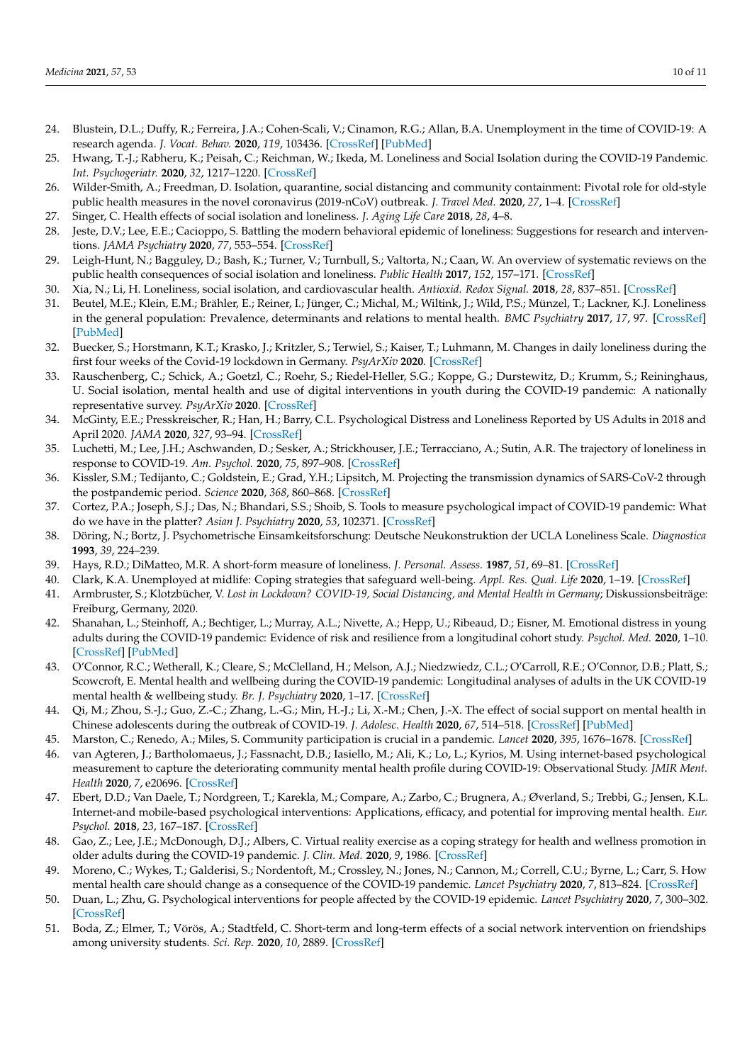- <span id="page-9-0"></span>24. Blustein, D.L.; Duffy, R.; Ferreira, J.A.; Cohen-Scali, V.; Cinamon, R.G.; Allan, B.A. Unemployment in the time of COVID-19: A research agenda. *J. Vocat. Behav.* **2020**, *119*, 103436. [\[CrossRef\]](http://doi.org/10.1016/j.jvb.2020.103436) [\[PubMed\]](http://www.ncbi.nlm.nih.gov/pubmed/32390656)
- <span id="page-9-1"></span>25. Hwang, T.-J.; Rabheru, K.; Peisah, C.; Reichman, W.; Ikeda, M. Loneliness and Social Isolation during the COVID-19 Pandemic. *Int. Psychogeriatr.* **2020**, *32*, 1217–1220. [\[CrossRef\]](http://doi.org/10.1017/S1041610220000988)
- <span id="page-9-2"></span>26. Wilder-Smith, A.; Freedman, D. Isolation, quarantine, social distancing and community containment: Pivotal role for old-style public health measures in the novel coronavirus (2019-nCoV) outbreak. *J. Travel Med.* **2020**, *27*, 1–4. [\[CrossRef\]](http://doi.org/10.1093/jtm/taaa020)
- <span id="page-9-3"></span>27. Singer, C. Health effects of social isolation and loneliness. *J. Aging Life Care* **2018**, *28*, 4–8.
- <span id="page-9-4"></span>28. Jeste, D.V.; Lee, E.E.; Cacioppo, S. Battling the modern behavioral epidemic of loneliness: Suggestions for research and interventions. *JAMA Psychiatry* **2020**, *77*, 553–554. [\[CrossRef\]](http://doi.org/10.1001/jamapsychiatry.2020.0027)
- <span id="page-9-5"></span>29. Leigh-Hunt, N.; Bagguley, D.; Bash, K.; Turner, V.; Turnbull, S.; Valtorta, N.; Caan, W. An overview of systematic reviews on the public health consequences of social isolation and loneliness. *Public Health* **2017**, *152*, 157–171. [\[CrossRef\]](http://doi.org/10.1016/j.puhe.2017.07.035)
- <span id="page-9-6"></span>30. Xia, N.; Li, H. Loneliness, social isolation, and cardiovascular health. *Antioxid. Redox Signal.* **2018**, *28*, 837–851. [\[CrossRef\]](http://doi.org/10.1089/ars.2017.7312)
- <span id="page-9-7"></span>31. Beutel, M.E.; Klein, E.M.; Brähler, E.; Reiner, I.; Jünger, C.; Michal, M.; Wiltink, J.; Wild, P.S.; Münzel, T.; Lackner, K.J. Loneliness in the general population: Prevalence, determinants and relations to mental health. *BMC Psychiatry* **2017**, *17*, 97. [\[CrossRef\]](http://doi.org/10.1186/s12888-017-1262-x) [\[PubMed\]](http://www.ncbi.nlm.nih.gov/pubmed/28320380)
- <span id="page-9-8"></span>32. Buecker, S.; Horstmann, K.T.; Krasko, J.; Kritzler, S.; Terwiel, S.; Kaiser, T.; Luhmann, M. Changes in daily loneliness during the first four weeks of the Covid-19 lockdown in Germany. *PsyArXiv* **2020**. [\[CrossRef\]](http://doi.org/10.1016/j.socscimed.2020.113541)
- <span id="page-9-9"></span>33. Rauschenberg, C.; Schick, A.; Goetzl, C.; Roehr, S.; Riedel-Heller, S.G.; Koppe, G.; Durstewitz, D.; Krumm, S.; Reininghaus, U. Social isolation, mental health and use of digital interventions in youth during the COVID-19 pandemic: A nationally representative survey. *PsyArXiv* **2020**. [\[CrossRef\]](http://doi.org/10.31234/osf.io/v64hf)
- <span id="page-9-10"></span>34. McGinty, E.E.; Presskreischer, R.; Han, H.; Barry, C.L. Psychological Distress and Loneliness Reported by US Adults in 2018 and April 2020. *JAMA* **2020**, *327*, 93–94. [\[CrossRef\]](http://doi.org/10.1001/jama.2020.9740)
- <span id="page-9-11"></span>35. Luchetti, M.; Lee, J.H.; Aschwanden, D.; Sesker, A.; Strickhouser, J.E.; Terracciano, A.; Sutin, A.R. The trajectory of loneliness in response to COVID-19. *Am. Psychol.* **2020**, *75*, 897–908. [\[CrossRef\]](http://doi.org/10.1037/amp0000690)
- <span id="page-9-12"></span>36. Kissler, S.M.; Tedijanto, C.; Goldstein, E.; Grad, Y.H.; Lipsitch, M. Projecting the transmission dynamics of SARS-CoV-2 through the postpandemic period. *Science* **2020**, *368*, 860–868. [\[CrossRef\]](http://doi.org/10.1126/science.abb5793)
- <span id="page-9-13"></span>37. Cortez, P.A.; Joseph, S.J.; Das, N.; Bhandari, S.S.; Shoib, S. Tools to measure psychological impact of COVID-19 pandemic: What do we have in the platter? *Asian J. Psychiatry* **2020**, *53*, 102371. [\[CrossRef\]](http://doi.org/10.1016/j.ajp.2020.102371)
- <span id="page-9-14"></span>38. Döring, N.; Bortz, J. Psychometrische Einsamkeitsforschung: Deutsche Neukonstruktion der UCLA Loneliness Scale. *Diagnostica* **1993**, *39*, 224–239.
- <span id="page-9-15"></span>39. Hays, R.D.; DiMatteo, M.R. A short-form measure of loneliness. *J. Personal. Assess.* **1987**, *51*, 69–81. [\[CrossRef\]](http://doi.org/10.1207/s15327752jpa5101_6)
- <span id="page-9-16"></span>40. Clark, K.A. Unemployed at midlife: Coping strategies that safeguard well-being. *Appl. Res. Qual. Life* **2020**, 1–19. [\[CrossRef\]](http://doi.org/10.1007/s11482-020-09850-1)
- <span id="page-9-17"></span>41. Armbruster, S.; Klotzbücher, V. *Lost in Lockdown? COVID-19, Social Distancing, and Mental Health in Germany*; Diskussionsbeiträge: Freiburg, Germany, 2020.
- <span id="page-9-18"></span>42. Shanahan, L.; Steinhoff, A.; Bechtiger, L.; Murray, A.L.; Nivette, A.; Hepp, U.; Ribeaud, D.; Eisner, M. Emotional distress in young adults during the COVID-19 pandemic: Evidence of risk and resilience from a longitudinal cohort study. *Psychol. Med.* **2020**, 1–10. [\[CrossRef\]](http://doi.org/10.1017/S003329172000241X) [\[PubMed\]](http://www.ncbi.nlm.nih.gov/pubmed/32571438)
- <span id="page-9-19"></span>43. O'Connor, R.C.; Wetherall, K.; Cleare, S.; McClelland, H.; Melson, A.J.; Niedzwiedz, C.L.; O'Carroll, R.E.; O'Connor, D.B.; Platt, S.; Scowcroft, E. Mental health and wellbeing during the COVID-19 pandemic: Longitudinal analyses of adults in the UK COVID-19 mental health & wellbeing study. *Br. J. Psychiatry* **2020**, 1–17. [\[CrossRef\]](http://doi.org/10.1192/bjp.2020.212)
- <span id="page-9-20"></span>44. Qi, M.; Zhou, S.-J.; Guo, Z.-C.; Zhang, L.-G.; Min, H.-J.; Li, X.-M.; Chen, J.-X. The effect of social support on mental health in Chinese adolescents during the outbreak of COVID-19. *J. Adolesc. Health* **2020**, *67*, 514–518. [\[CrossRef\]](http://doi.org/10.1016/j.jadohealth.2020.07.001) [\[PubMed\]](http://www.ncbi.nlm.nih.gov/pubmed/32753347)
- <span id="page-9-21"></span>45. Marston, C.; Renedo, A.; Miles, S. Community participation is crucial in a pandemic. *Lancet* **2020**, *395*, 1676–1678. [\[CrossRef\]](http://doi.org/10.1016/S0140-6736(20)31054-0)
- <span id="page-9-22"></span>46. van Agteren, J.; Bartholomaeus, J.; Fassnacht, D.B.; Iasiello, M.; Ali, K.; Lo, L.; Kyrios, M. Using internet-based psychological measurement to capture the deteriorating community mental health profile during COVID-19: Observational Study. *JMIR Ment. Health* **2020**, *7*, e20696. [\[CrossRef\]](http://doi.org/10.2196/20696)
- <span id="page-9-23"></span>47. Ebert, D.D.; Van Daele, T.; Nordgreen, T.; Karekla, M.; Compare, A.; Zarbo, C.; Brugnera, A.; Øverland, S.; Trebbi, G.; Jensen, K.L. Internet-and mobile-based psychological interventions: Applications, efficacy, and potential for improving mental health. *Eur. Psychol.* **2018**, *23*, 167–187. [\[CrossRef\]](http://doi.org/10.1027/1016-9040/a000318)
- <span id="page-9-24"></span>48. Gao, Z.; Lee, J.E.; McDonough, D.J.; Albers, C. Virtual reality exercise as a coping strategy for health and wellness promotion in older adults during the COVID-19 pandemic. *J. Clin. Med.* **2020**, *9*, 1986. [\[CrossRef\]](http://doi.org/10.3390/jcm9061986)
- <span id="page-9-25"></span>49. Moreno, C.; Wykes, T.; Galderisi, S.; Nordentoft, M.; Crossley, N.; Jones, N.; Cannon, M.; Correll, C.U.; Byrne, L.; Carr, S. How mental health care should change as a consequence of the COVID-19 pandemic. *Lancet Psychiatry* **2020**, *7*, 813–824. [\[CrossRef\]](http://doi.org/10.1016/S2215-0366(20)30307-2)
- <span id="page-9-26"></span>50. Duan, L.; Zhu, G. Psychological interventions for people affected by the COVID-19 epidemic. *Lancet Psychiatry* **2020**, *7*, 300–302. [\[CrossRef\]](http://doi.org/10.1016/S2215-0366(20)30073-0)
- <span id="page-9-27"></span>51. Boda, Z.; Elmer, T.; Vörös, A.; Stadtfeld, C. Short-term and long-term effects of a social network intervention on friendships among university students. *Sci. Rep.* **2020**, *10*, 2889. [\[CrossRef\]](http://doi.org/10.1038/s41598-020-59594-z)